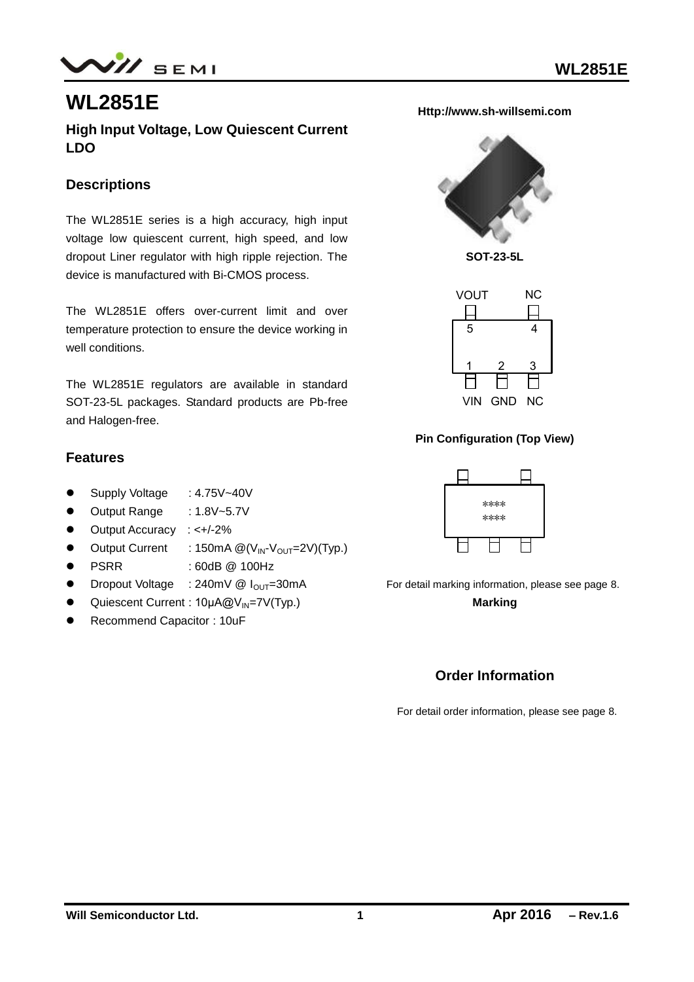$N\!$  SEMI

# **WL2851E**

**High Input Voltage, Low Quiescent Current LDO**

#### **Descriptions**

The WL2851E series is a high accuracy, high input voltage low quiescent current, high speed, and low dropout Liner regulator with high ripple rejection. The device is manufactured with Bi-CMOS process.

The WL2851E offers over-current limit and over temperature protection to ensure the device working in well conditions.

The WL2851E regulators are available in standard SOT-23-5L packages. Standard products are Pb-free and Halogen-free.

#### **Features**

- Supply Voltage : 4.75V~40V
- Output Range : 1.8V~5.7V
- Output Accuracy : <+/-2%
- $\bullet$  Output Current : 150mA  $\mathcal{Q}(V_{\text{IN}}-V_{\text{OUT}}=2V)(\text{Typ.})$
- PSRR : 60dB @ 100Hz
- $\bullet$  Dropout Voltage : 240mV @  $I_{\text{OUT}}=30\text{mA}$
- <sup>●</sup> Quiescent Current : 10μA@V<sub>IN</sub>=7V(Typ.)
- Recommend Capacitor : 10uF

**Http://www.sh-willsemi.com**



**SOT-23-5L**



#### **Pin Configuration (Top View)**



For detail marking information, please see page 8. **Marking**

#### **Order Information**

For detail order information, please see page 8.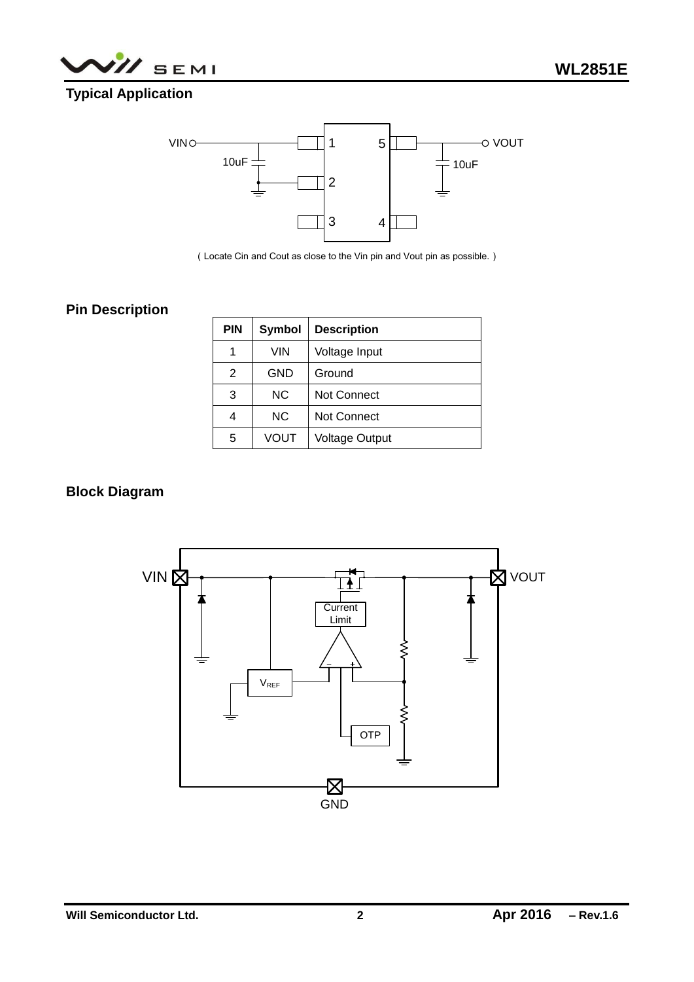



### **Typical Application**



(Locate Cin and Cout as close to the Vin pin and Vout pin as possible.)

### **Pin Description**

| <b>PIN</b> | <b>Symbol</b> | <b>Description</b>    |  |
|------------|---------------|-----------------------|--|
| 1          | <b>VIN</b>    | Voltage Input         |  |
| 2          | <b>GND</b>    | Ground                |  |
| 3          | <b>NC</b>     | Not Connect           |  |
| 4          | <b>NC</b>     | <b>Not Connect</b>    |  |
| 5          | VOUT          | <b>Voltage Output</b> |  |

#### **Block Diagram**

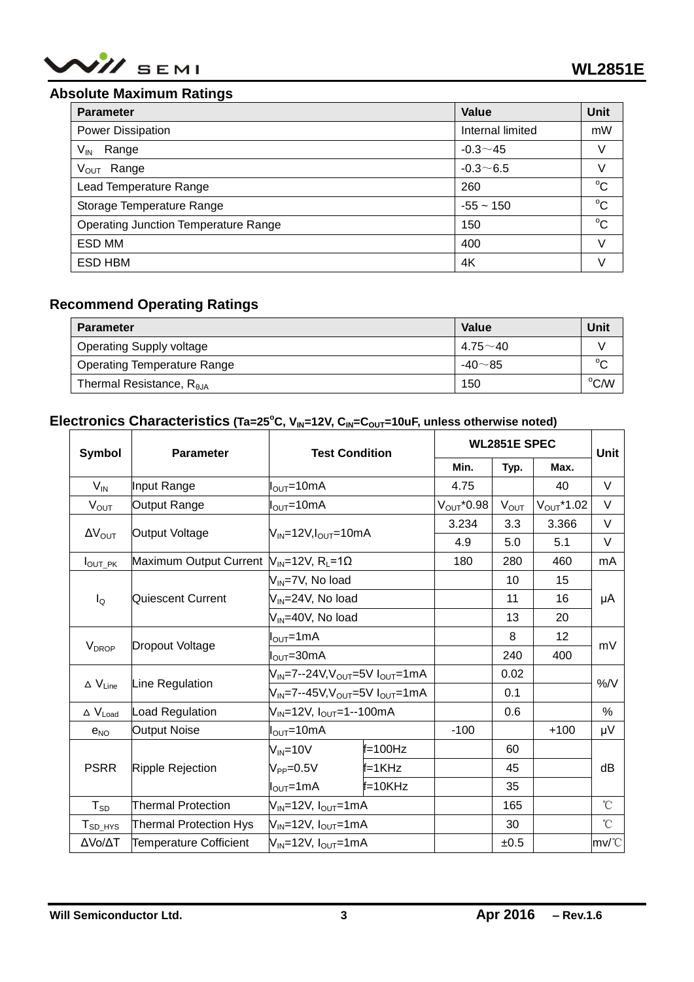

#### **Absolute Maximum Ratings**

| <b>Parameter</b>                            | Value            | Unit        |
|---------------------------------------------|------------------|-------------|
| Power Dissipation                           | Internal limited | mW          |
| $V_{IN}$<br>Range                           | $-0.3 - 45$      | V           |
| $V_{\text{OUT}}$<br>Range                   | $-0.3 - 6.5$     | V           |
| Lead Temperature Range                      | 260              | $^{\circ}C$ |
| Storage Temperature Range                   | $-55 \sim 150$   | $^{\circ}C$ |
| <b>Operating Junction Temperature Range</b> | 150              | $^{\circ}C$ |
| ESD MM                                      | 400              | V           |
| <b>ESD HBM</b>                              | 4K               | V           |

### **Recommend Operating Ratings**

| <b>Parameter</b>                   | Value         | Unit           |
|------------------------------------|---------------|----------------|
| <b>Operating Supply voltage</b>    | $4.75 - 40$   |                |
| <b>Operating Temperature Range</b> | $-40 \sim 85$ | $\sim$         |
| Thermal Resistance, $R_{\theta$ JA | 150           | $^{\circ}$ C/W |

## Electronics Characteristics (Ta=25°C, V<sub>IN</sub>=12V, C<sub>IN</sub>=C<sub>OUT</sub>=10uF, unless otherwise noted)

| Symbol                           | <b>Parameter</b>                                                 | <b>Test Condition</b>                                              |              | <b>WL2851E SPEC</b>    |           |                 | Unit            |
|----------------------------------|------------------------------------------------------------------|--------------------------------------------------------------------|--------------|------------------------|-----------|-----------------|-----------------|
|                                  |                                                                  |                                                                    |              | Min.                   | Typ.      | Max.            |                 |
| $V_{IN}$                         | Input Range                                                      | $I_{\text{OUT}}$ =10mA                                             |              | 4.75                   |           | 40              | V               |
| $V_{OUT}$                        | Output Range                                                     | l <sub>oυτ</sub> =10mA                                             |              | $V_{\text{OUT}}$ *0.98 | $V_{OUT}$ | $V_{OUT}$ *1.02 | $\vee$          |
|                                  | Output Voltage                                                   | V <sub>IN</sub> =12V,I <sub>OUT</sub> =10mA                        |              | 3.234                  | 3.3       | 3.366           | V               |
| $\Delta V_{\text{OUT}}$          |                                                                  |                                                                    |              | 4.9                    | 5.0       | 5.1             | V               |
| $I_{\text{OUT\_PK}}$             | Maximum Output Current $N_{IN}$ =12V, R <sub>L</sub> =1 $\Omega$ |                                                                    |              | 180                    | 280       | 460             | mA              |
|                                  |                                                                  | V <sub>IN</sub> =7V, No load                                       |              |                        | 10        | 15              | μA              |
| $I_{\mathsf{Q}}$                 | Quiescent Current                                                | V <sub>IN</sub> =24V, No load                                      |              |                        | 11        | 16              |                 |
|                                  |                                                                  | V <sub>IN</sub> =40V, No load                                      |              |                        | 13        | 20              |                 |
|                                  |                                                                  | $I_{\text{OUT}}$ =1mA                                              |              |                        | 8         | 12              | mV              |
| V <sub>DROP</sub>                | Dropout Voltage                                                  | l <sub>ouт</sub> =30mA                                             |              |                        | 240       | 400             |                 |
|                                  |                                                                  | V <sub>IN</sub> =7--24V,V <sub>OUT</sub> =5V I <sub>OUT</sub> =1mA |              |                        | 0.02      |                 | $%$ /V          |
| $\Delta$ $V_{Line}$              | Line Regulation                                                  | $V_{IN}$ =7--45V,V <sub>OUT</sub> =5V I <sub>OUT</sub> =1mA        |              |                        | 0.1       |                 |                 |
| $\Delta$ V <sub>Load</sub>       | Load Regulation                                                  | V <sub>IN</sub> =12V, I <sub>OUT</sub> =1--100mA                   |              |                        | 0.6       |                 | %               |
| $e_{NO}$                         | <b>Output Noise</b>                                              | $I_{\text{OUT}}$ =10mA                                             |              | $-100$                 |           | $+100$          | μV              |
|                                  |                                                                  | $V_{IN} = 10V$                                                     | $f = 100$ Hz |                        | 60        |                 |                 |
| <b>PSRR</b>                      | Ripple Rejection                                                 | $V_{PP} = 0.5V$                                                    | f=1KHz       |                        | 45        |                 | dB              |
|                                  |                                                                  | $I_{\text{OUT}}$ =1mA                                              | $f = 10K$ Hz |                        | 35        |                 |                 |
| $T_{SD}$                         | <b>Thermal Protection</b>                                        | V <sub>IN</sub> =12V, I <sub>OUT</sub> =1mA                        |              |                        | 165       |                 | $\rm ^{\circ}C$ |
| ${\mathsf T}_{\mathsf{SD\_HYS}}$ | <b>Thermal Protection Hys</b>                                    | V <sub>IN</sub> =12V, I <sub>OUT</sub> =1mA                        |              |                        | 30        |                 | $^{\circ}$ C    |
| ΔVο/ΔΤ                           | Temperature Cofficient                                           | V <sub>IN</sub> =12V, I <sub>OUT</sub> =1mA                        |              |                        | ±0.5      |                 | mv/°C           |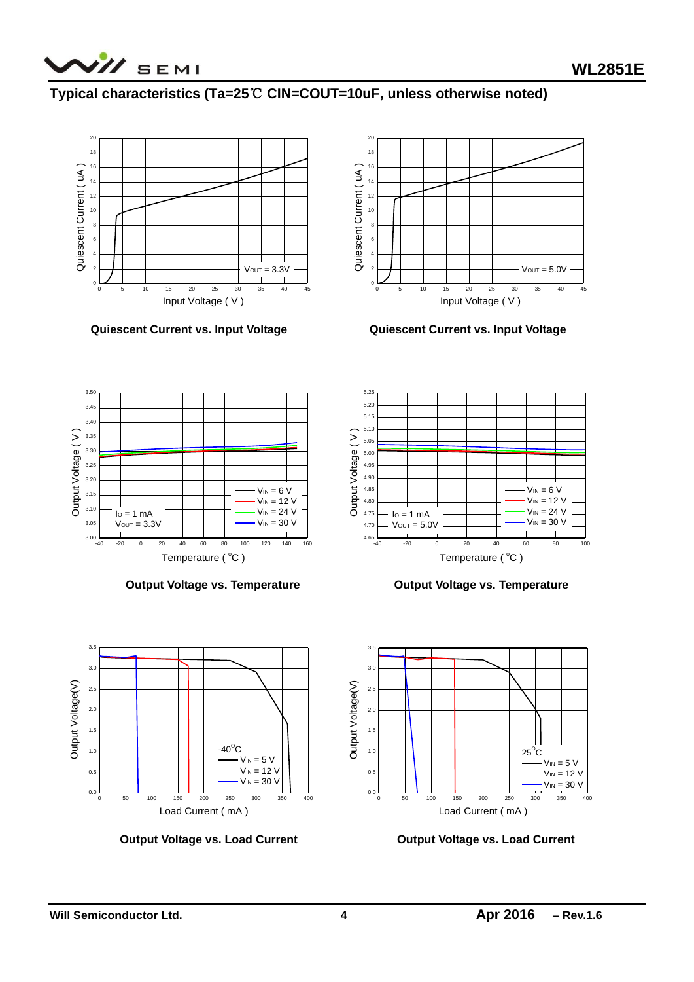

## **Typical characteristics (Ta=25**℃ **CIN=COUT=10uF, unless otherwise noted)**



**Quiescent Current vs. Input Voltage Quiescent Current vs. Input Voltage**





**Output Voltage vs. Temperature Contract Contract Contract Voltage vs. Temperature** 





**Output Voltage vs. Load Current Current Current Current Current Current** 

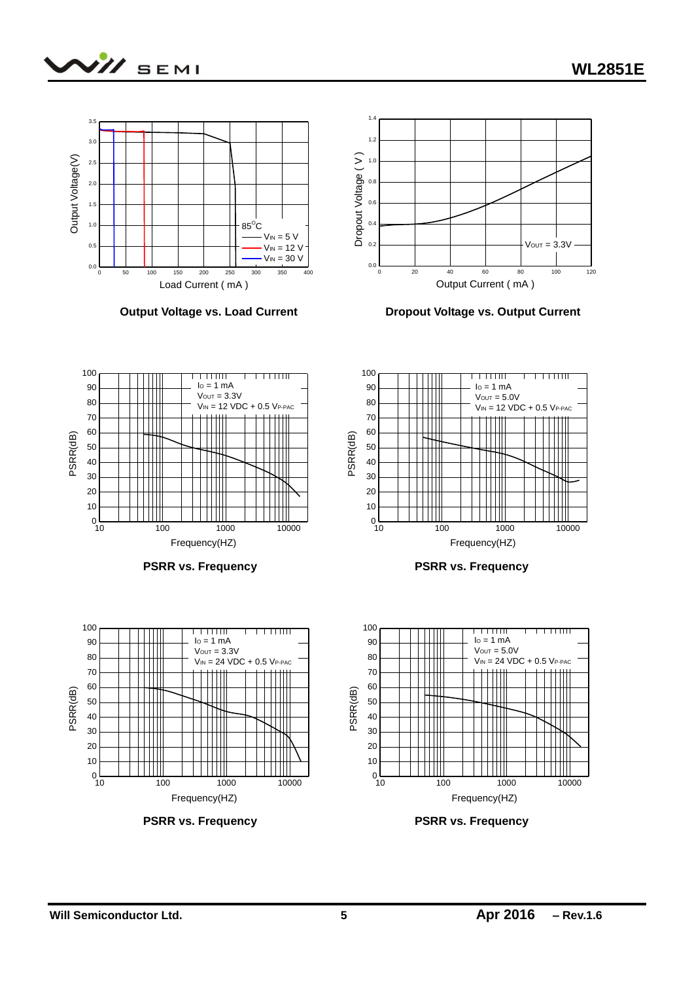

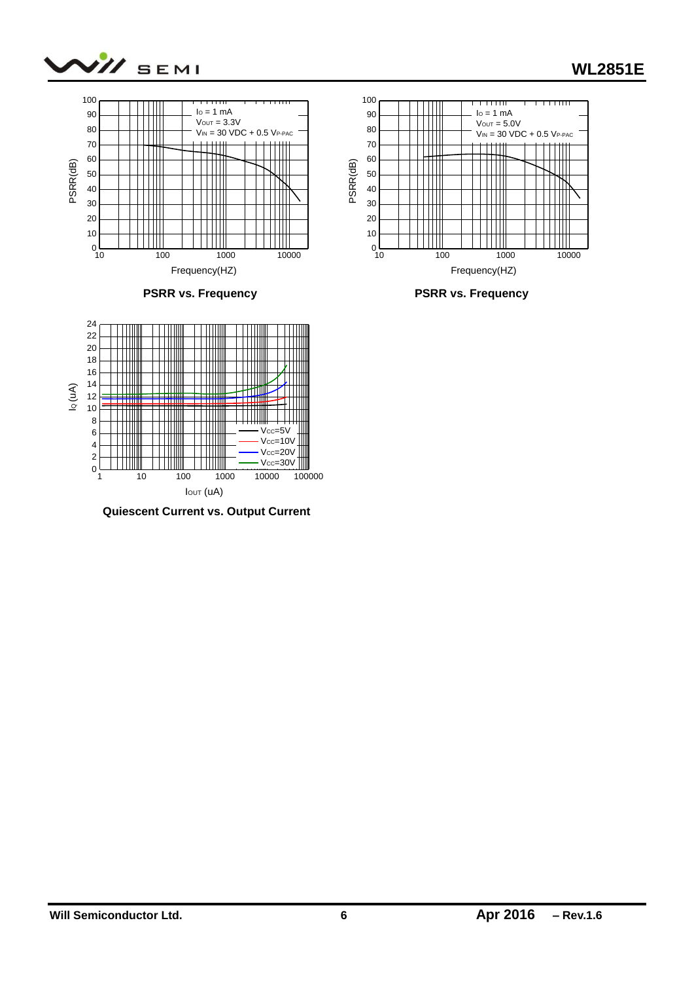





**Quiescent Current vs. Output Current**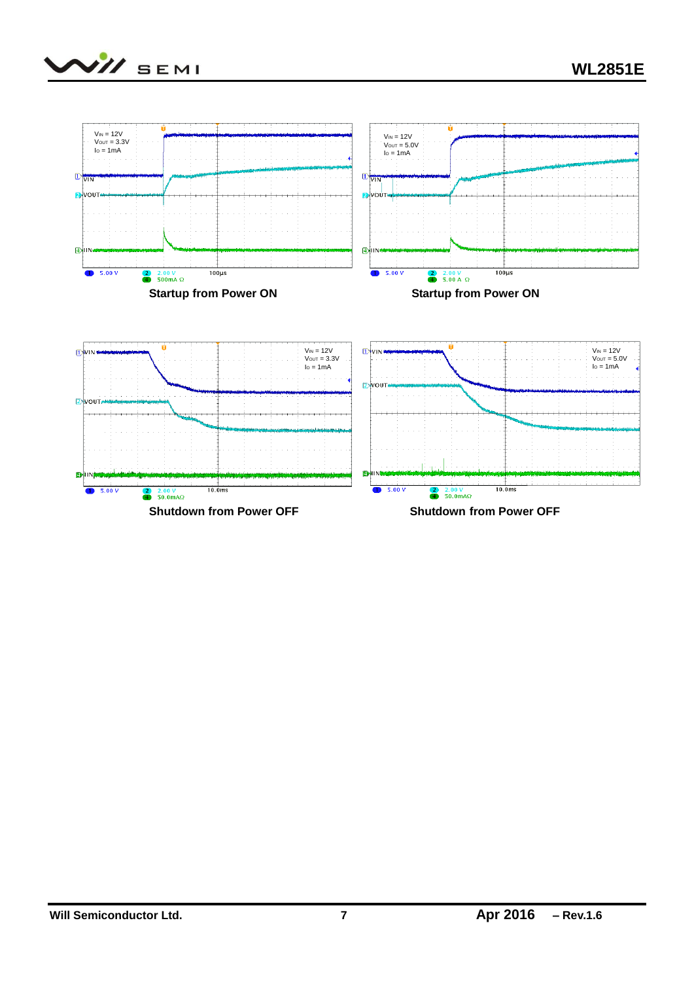

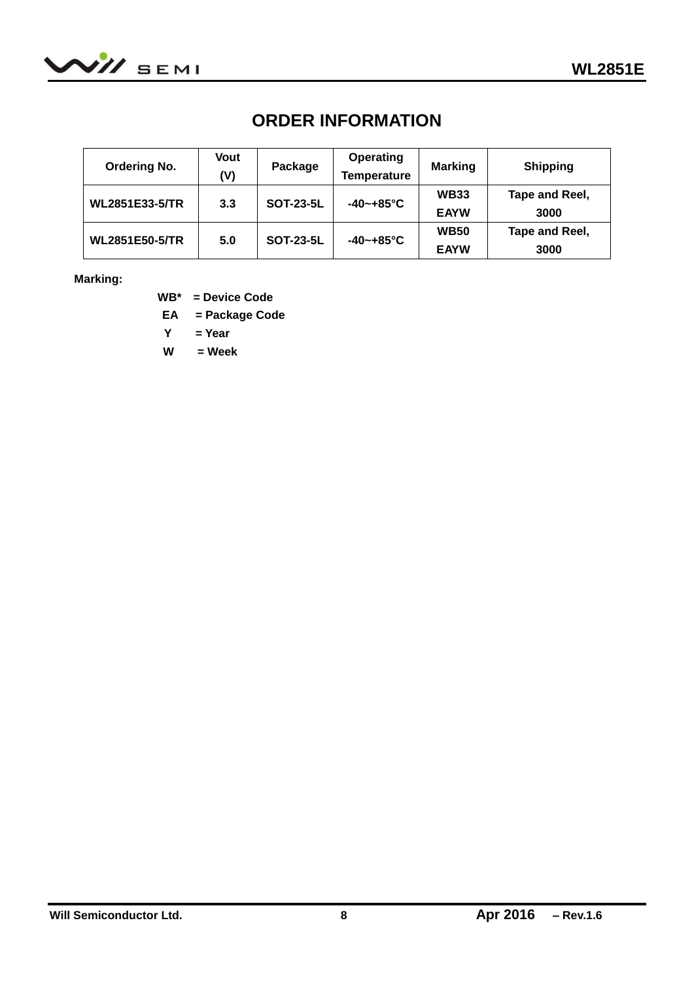

## **ORDER INFORMATION**

| <b>Ordering No.</b>   | Vout<br>(V) | Package          | <b>Operating</b><br><b>Temperature</b> | <b>Marking</b>             | <b>Shipping</b>        |
|-----------------------|-------------|------------------|----------------------------------------|----------------------------|------------------------|
| WL2851E33-5/TR        | 3.3         | <b>SOT-23-5L</b> | $-40 - +85^{\circ}C$                   | <b>WB33</b><br><b>EAYW</b> | Tape and Reel,<br>3000 |
| <b>WL2851E50-5/TR</b> | 5.0         | <b>SOT-23-5L</b> | $-40 - +85$ °C                         | <b>WB50</b><br><b>EAYW</b> | Tape and Reel,<br>3000 |

#### **Marking:**

**WB\* = Device Code**

**EA = Package Code**

 **Y = Year**

 **W = Week**